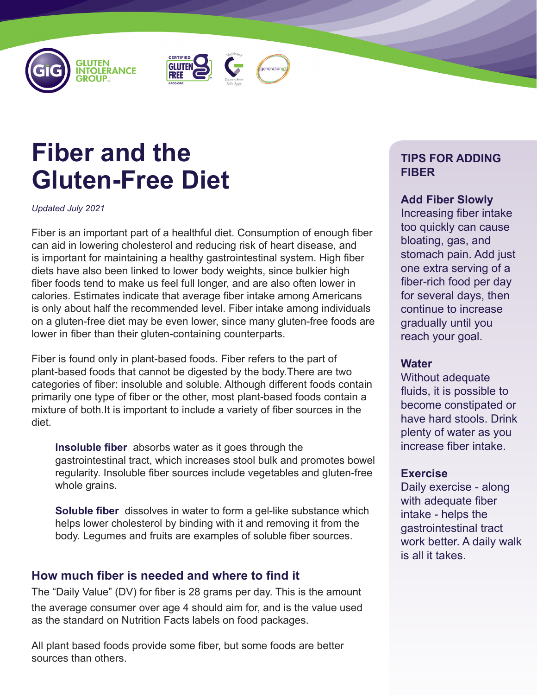





# **Fiber and the Gluten-Free Diet**

*Updated July 2021*

Fiber is an important part of a healthful diet. Consumption of enough fiber can aid in lowering cholesterol and reducing risk of heart disease, and is important for maintaining a healthy gastrointestinal system. High fiber diets have also been linked to lower body weights, since bulkier high fiber foods tend to make us feel full longer, and are also often lower in calories. Estimates indicate that average fiber intake among Americans is only about half the recommended level. Fiber intake among individuals on a gluten-free diet may be even lower, since many gluten-free foods are lower in fiber than their gluten-containing counterparts.

Fiber is found only in plant-based foods. Fiber refers to the part of plant-based foods that cannot be digested by the body.There are two categories of fiber: insoluble and soluble. Although different foods contain primarily one type of fiber or the other, most plant-based foods contain a mixture of both.It is important to include a variety of fiber sources in the diet.

**Insoluble fiber** absorbs water as it goes through the gastrointestinal tract, which increases stool bulk and promotes bowel regularity. Insoluble fiber sources include vegetables and gluten-free whole grains.

**Soluble fiber** dissolves in water to form a gel-like substance which helps lower cholesterol by binding with it and removing it from the body. Legumes and fruits are examples of soluble fiber sources.

## **How much fiber is needed and where to find it**

The "Daily Value" (DV) for fiber is 28 grams per day. This is the amount the average consumer over age 4 should aim for, and is the value used as the standard on Nutrition Facts labels on food packages.

All plant based foods provide some fiber, but some foods are better sources than others.

## **TIPS FOR ADDING FIBER**

**Add Fiber Slowly**

Increasing fiber intake too quickly can cause bloating, gas, and stomach pain. Add just one extra serving of a fiber-rich food per day for several days, then continue to increase gradually until you reach your goal.

#### **Water**

Without adequate fluids, it is possible to become constipated or have hard stools. Drink plenty of water as you increase fiber intake.

#### **Exercise**

Daily exercise - along with adequate fiber intake - helps the gastrointestinal tract work better. A daily walk is all it takes.